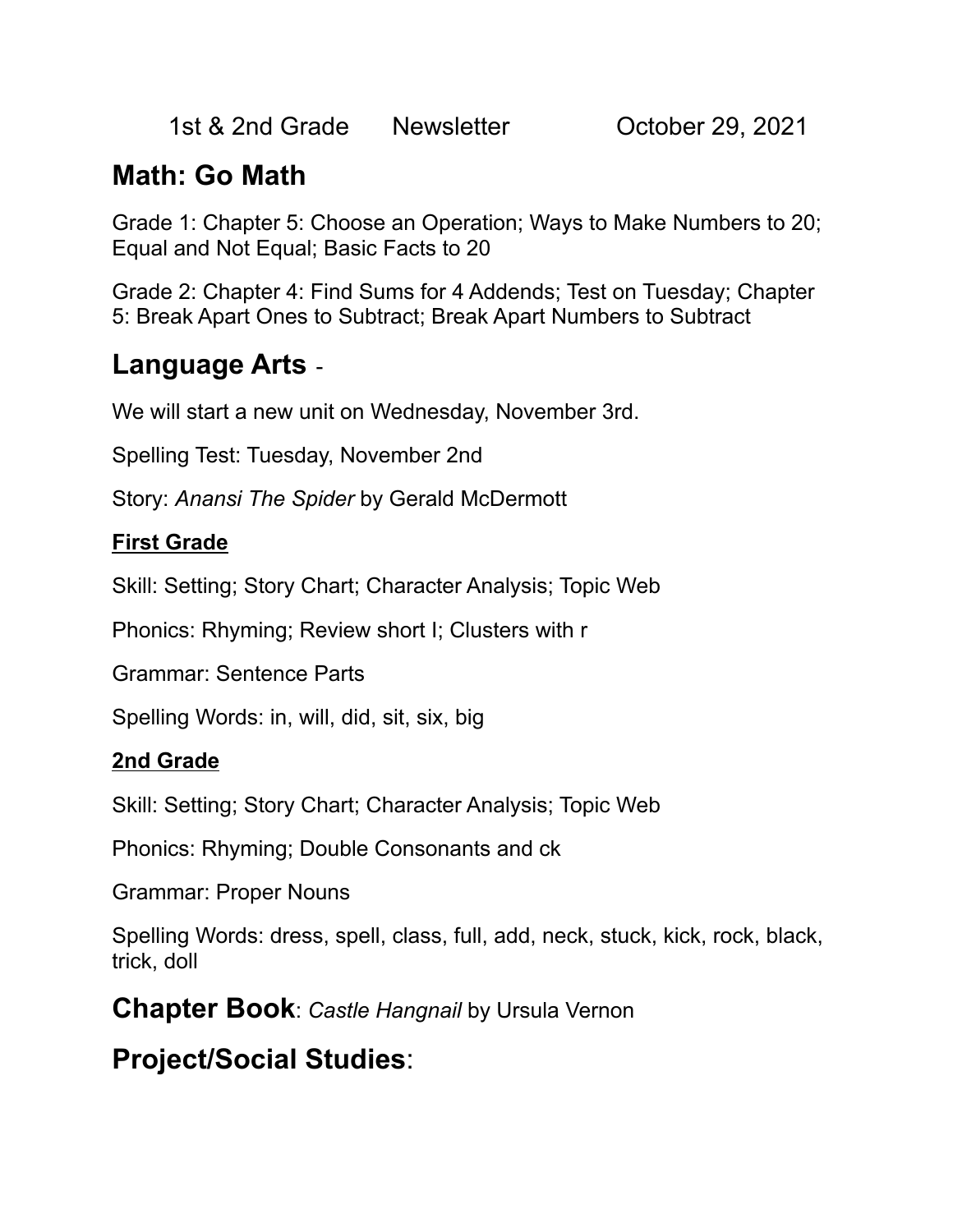1st & 2nd Grade Newsletter Cortober 29, 2021

## **Math: Go Math**

Grade 1: Chapter 5: Choose an Operation; Ways to Make Numbers to 20; Equal and Not Equal; Basic Facts to 20

Grade 2: Chapter 4: Find Sums for 4 Addends; Test on Tuesday; Chapter 5: Break Apart Ones to Subtract; Break Apart Numbers to Subtract

### **Language Arts** -

We will start a new unit on Wednesday, November 3rd.

Spelling Test: Tuesday, November 2nd

Story: *Anansi The Spider* by Gerald McDermott

#### **First Grade**

Skill: Setting; Story Chart; Character Analysis; Topic Web

Phonics: Rhyming; Review short I; Clusters with r

Grammar: Sentence Parts

Spelling Words: in, will, did, sit, six, big

#### **2nd Grade**

Skill: Setting; Story Chart; Character Analysis; Topic Web

Phonics: Rhyming; Double Consonants and ck

Grammar: Proper Nouns

Spelling Words: dress, spell, class, full, add, neck, stuck, kick, rock, black, trick, doll

**Chapter Book**: *Castle Hangnail* by Ursula Vernon

## **Project/Social Studies**: